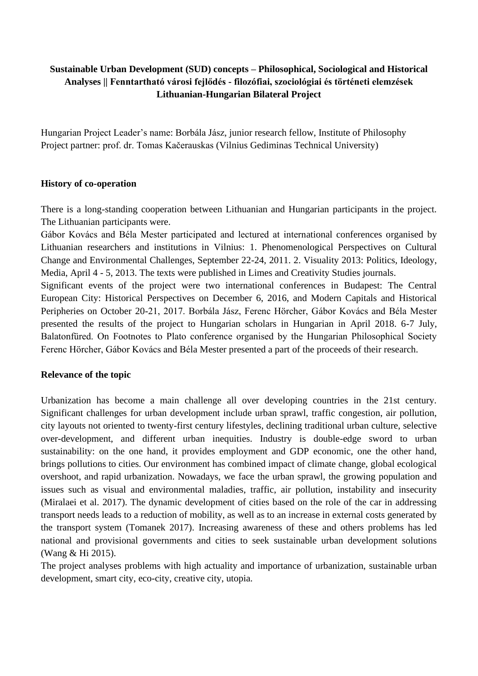# **Sustainable Urban Development (SUD) concepts – Philosophical, Sociological and Historical Analyses || Fenntartható városi fejlődés - filozófiai, szociológiai és történeti elemzések Lithuanian-Hungarian Bilateral Project**

Hungarian Project Leader's name: Borbála Jász, junior research fellow, Institute of Philosophy Project partner: prof. dr. Tomas Kačerauskas (Vilnius Gediminas Technical University)

### **History of co-operation**

There is a long-standing cooperation between Lithuanian and Hungarian participants in the project. The Lithuanian participants were.

Gábor Kovács and Béla Mester participated and lectured at international conferences organised by Lithuanian researchers and institutions in Vilnius: 1. Phenomenological Perspectives on Cultural Change and Environmental Challenges, September 22-24, 2011. 2. Visuality 2013: Politics, Ideology, Media, April 4 - 5, 2013. The texts were published in Limes and Creativity Studies journals.

Significant events of the project were two international conferences in Budapest: The Central European City: Historical Perspectives on December 6, 2016, and Modern Capitals and Historical Peripheries on October 20-21, 2017. Borbála Jász, Ferenc Hörcher, Gábor Kovács and Béla Mester presented the results of the project to Hungarian scholars in Hungarian in April 2018. 6-7 July, Balatonfüred. On Footnotes to Plato conference organised by the Hungarian Philosophical Society Ferenc Hörcher, Gábor Kovács and Béla Mester presented a part of the proceeds of their research.

### **Relevance of the topic**

Urbanization has become a main challenge all over developing countries in the 21st century. Significant challenges for urban development include urban sprawl, traffic congestion, air pollution, city layouts not oriented to twenty-first century lifestyles, declining traditional urban culture, selective over-development, and different urban inequities. Industry is double-edge sword to urban sustainability: on the one hand, it provides employment and GDP economic, one the other hand, brings pollutions to cities. Our environment has combined impact of climate change, global ecological overshoot, and rapid urbanization. Nowadays, we face the urban sprawl, the growing population and issues such as visual and environmental maladies, traffic, air pollution, instability and insecurity (Miralaei et al. 2017). The dynamic development of cities based on the role of the car in addressing transport needs leads to a reduction of mobility, as well as to an increase in external costs generated by the transport system (Tomanek 2017). Increasing awareness of these and others problems has led national and provisional governments and cities to seek sustainable urban development solutions (Wang & Hi 2015).

The project analyses problems with high actuality and importance of urbanization, sustainable urban development, smart city, eco-city, creative city, utopia.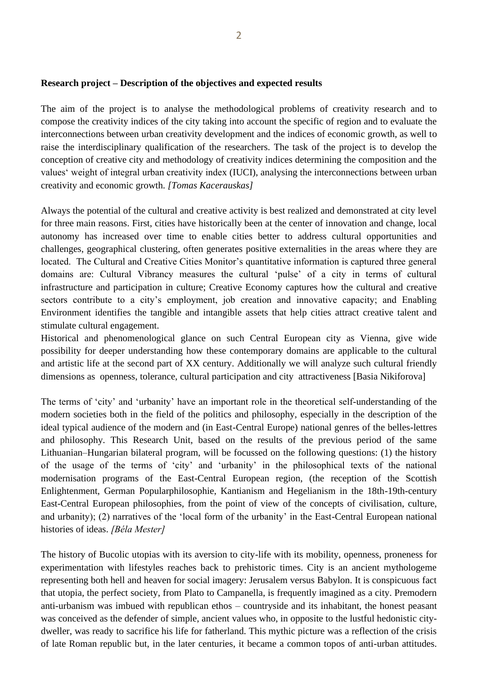### **Research project – Description of the objectives and expected results**

The aim of the project is to analyse the methodological problems of creativity research and to compose the creativity indices of the city taking into account the specific of region and to evaluate the interconnections between urban creativity development and the indices of economic growth, as well to raise the interdisciplinary qualification of the researchers. The task of the project is to develop the conception of creative city and methodology of creativity indices determining the composition and the values' weight of integral urban creativity index (IUCI), analysing the interconnections between urban creativity and economic growth. *[Tomas Kacerauskas]*

Always the potential of the cultural and creative activity is best realized and demonstrated at city level for three main reasons. First, cities have historically been at the center of innovation and change, local autonomy has increased over time to enable cities better to address cultural opportunities and challenges, geographical clustering, often generates positive externalities in the areas where they are located. The Cultural and Creative Cities Monitor's quantitative information is captured three general domains are: Cultural Vibrancy measures the cultural 'pulse' of a city in terms of cultural infrastructure and participation in culture; Creative Economy captures how the cultural and creative sectors contribute to a city's employment, job creation and innovative capacity; and Enabling Environment identifies the tangible and intangible assets that help cities attract creative talent and stimulate cultural engagement.

Historical and phenomenological glance on such Central European city as Vienna, give wide possibility for deeper understanding how these contemporary domains are applicable to the cultural and artistic life at the second part of XX century. Additionally we will analyze such cultural friendly dimensions as openness, tolerance, cultural participation and city attractiveness [Basia Nikiforova]

The terms of 'city' and 'urbanity' have an important role in the theoretical self-understanding of the modern societies both in the field of the politics and philosophy, especially in the description of the ideal typical audience of the modern and (in East-Central Europe) national genres of the belles-lettres and philosophy. This Research Unit, based on the results of the previous period of the same Lithuanian–Hungarian bilateral program, will be focussed on the following questions: (1) the history of the usage of the terms of 'city' and 'urbanity' in the philosophical texts of the national modernisation programs of the East-Central European region, (the reception of the Scottish Enlightenment, German Popularphilosophie, Kantianism and Hegelianism in the 18th-19th-century East-Central European philosophies, from the point of view of the concepts of civilisation, culture, and urbanity); (2) narratives of the 'local form of the urbanity' in the East-Central European national histories of ideas. *[Béla Mester]*

The history of Bucolic utopias with its aversion to city-life with its mobility, openness, proneness for experimentation with lifestyles reaches back to prehistoric times. City is an ancient mythologeme representing both hell and heaven for social imagery: Jerusalem versus Babylon. It is conspicuous fact that utopia, the perfect society, from Plato to Campanella, is frequently imagined as a city. Premodern anti-urbanism was imbued with republican ethos – countryside and its inhabitant, the honest peasant was conceived as the defender of simple, ancient values who, in opposite to the lustful hedonistic citydweller, was ready to sacrifice his life for fatherland. This mythic picture was a reflection of the crisis of late Roman republic but, in the later centuries, it became a common topos of anti-urban attitudes.